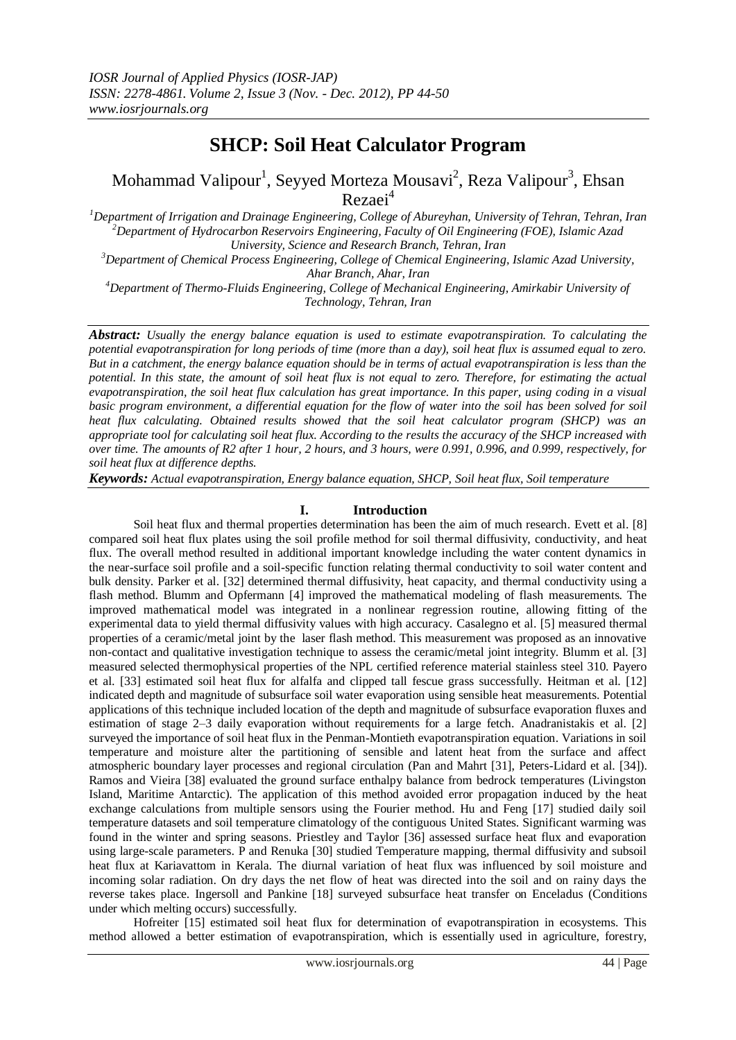# **SHCP: Soil Heat Calculator Program**

Mohammad Valipour<sup>1</sup>, Seyyed Morteza Mousavi<sup>2</sup>, Reza Valipour<sup>3</sup>, Ehsan Rezaei<sup>4</sup>

*<sup>1</sup>Department of Irrigation and Drainage Engineering, College of Abureyhan, University of Tehran, Tehran, Iran <sup>2</sup>Department o[f Hydrocarbon Reservoirs](http://www.nature.com/nature/insights/6964.html) Engineering, Faculty of Oil Engineering (FOE), Islamic Azad University, Science and Research Branch, Tehran, Iran*

*<sup>3</sup>Department of Chemical Process Engineering, College of Chemical Engineering, Islamic Azad University, Ahar Branch, Ahar, Iran*

*<sup>4</sup>Department of Thermo-Fluids Engineering, College of Mechanical Engineering, Amirkabir University of Technology, Tehran, Iran*

*Abstract: Usually the energy balance equation is used to estimate evapotranspiration. To calculating the potential evapotranspiration for long periods of time (more than a day), soil heat flux is assumed equal to zero. But in a catchment, the energy balance equation should be in terms of actual evapotranspiration is less than the potential. In this state, the amount of soil heat flux is not equal to zero. Therefore, for estimating the actual evapotranspiration, the soil heat flux calculation has great importance. In this paper, using coding in a visual*  basic program environment, a differential equation for the flow of water into the soil has been solved for soil *heat flux calculating. Obtained results showed that the soil heat calculator program (SHCP) was an appropriate tool for calculating soil heat flux. According to the results the accuracy of the SHCP increased with over time. The amounts of R2 after 1 hour, 2 hours, and 3 hours, were 0.991, 0.996, and 0.999, respectively, for soil heat flux at difference depths.*

*Keywords: Actual evapotranspiration, Energy balance equation, SHCP, Soil heat flux, Soil temperature*

## **I. Introduction**

Soil heat flux and thermal properties determination has been the aim of much research. Evett et al. [8] compared soil heat flux plates using the soil profile method for soil thermal diffusivity, conductivity, and heat flux. The overall method resulted in additional important knowledge including the water content dynamics in the near-surface soil profile and a soil-specific function relating thermal conductivity to soil water content and bulk density. Parker et al. [32] determined thermal diffusivity, heat capacity, and thermal conductivity using a flash method. Blumm and Opfermann [4] improved the mathematical modeling of flash measurements. The improved mathematical model was integrated in a nonlinear regression routine, allowing fitting of the experimental data to yield thermal diffusivity values with high accuracy. [Casalegno](http://www.sciencedirect.com/science/article/pii/S0022311510005337) et al. [5] measured thermal properties of a ceramic/metal joint by the laser flash method. This measurement was proposed as an innovative non-contact and qualitative investigation technique to assess the ceramic/metal joint integrity. Blumm et al. [3] measured selected thermophysical properties of the NPL certified reference material stainless steel 310. Payero et al. [33] estimated soil heat flux for alfalfa and clipped tall fescue grass successfully. Heitman et al. [12] indicated depth and magnitude of subsurface soil water evaporation using sensible heat measurements. Potential applications of this technique included location of the depth and magnitude of subsurface evaporation fluxes and estimation of stage 2–3 daily evaporation without requirements for a large fetch. Anadranistakis et al. [2] surveyed the importance of soil heat flux in the Penman-Montieth evapotranspiration equation. Variations in soil temperature and moisture alter the partitioning of sensible and latent heat from the surface and affect atmospheric boundary layer processes and regional circulation (Pan and Mahrt [31], Peters-Lidard et al. [34]). Ramos and Vieira [38] evaluated the ground surface enthalpy balance from bedrock temperatures (Livingston Island, Maritime Antarctic). The application of this method avoided error propagation induced by the heat exchange calculations from multiple sensors using the Fourier method. Hu and Feng [17] studied daily soil temperature datasets and soil temperature climatology of the contiguous United States. Significant warming was found in the winter and spring seasons. Priestley and Taylor [36] assessed surface heat flux and evaporation using large-scale parameters. P and Renuka [30] studied Temperature mapping, thermal diffusivity and subsoil heat flux at Kariavattom in Kerala. The diurnal variation of heat flux was influenced by soil moisture and incoming solar radiation. On dry days the net flow of heat was directed into the soil and on rainy days the reverse takes place. Ingersoll and Pankine [18] surveyed subsurface heat transfer on Enceladus (Conditions under which melting occurs) successfully.

Hofreiter [15] estimated soil heat flux for determination of evapotranspiration in ecosystems. This method allowed a better estimation of evapotranspiration, which is essentially used in agriculture, forestry,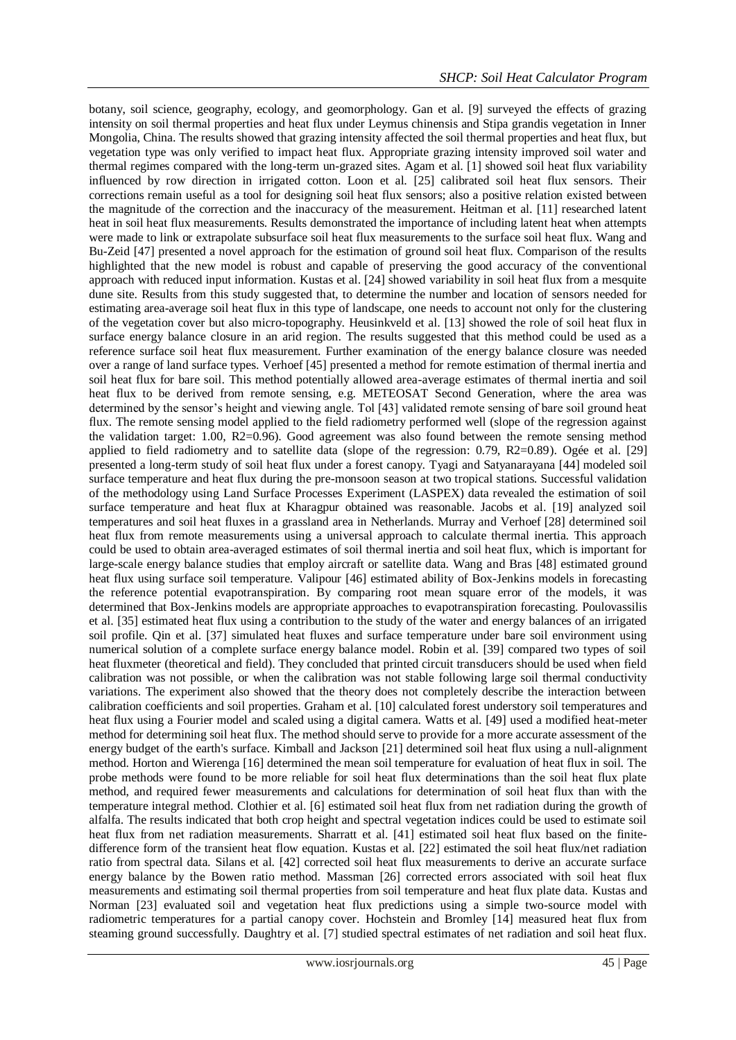botany, soil science, geography, ecology, and geomorphology. Gan et al. [9] surveyed the effects of grazing intensity on soil thermal properties and heat flux under Leymus chinensis and Stipa grandis vegetation in Inner Mongolia, China. The results showed that grazing intensity affected the soil thermal properties and heat flux, but vegetation type was only verified to impact heat flux. Appropriate grazing intensity improved soil water and thermal regimes compared with the long-term un-grazed sites. Agam et al. [1] showed soil heat flux variability influenced by row direction in irrigated cotton. Loon et al. [25] calibrated soil heat flux sensors. Their corrections remain useful as a tool for designing soil heat flux sensors; also a positive relation existed between the magnitude of the correction and the inaccuracy of the measurement. Heitman et al. [11] researched latent heat in soil heat flux measurements. Results demonstrated the importance of including latent heat when attempts were made to link or extrapolate subsurface soil heat flux measurements to the surface soil heat flux. Wang and Bu-Zeid [47] presented a novel approach for the estimation of ground soil heat flux. Comparison of the results highlighted that the new model is robust and capable of preserving the good accuracy of the conventional approach with reduced input information. Kustas et al. [24] showed variability in soil heat flux from a mesquite dune site. Results from this study suggested that, to determine the number and location of sensors needed for estimating area-average soil heat flux in this type of landscape, one needs to account not only for the clustering of the vegetation cover but also micro-topography. [Heusinkveld](http://www.sciencedirect.com/science/article/pii/S0168192303002259) et al. [13] showed the role of soil heat flux in surface energy balance closure in an arid region. The results suggested that this method could be used as a reference surface soil heat flux measurement. Further examination of the energy balance closure was needed over a range of land surface types. Verhoef [45] presented a method for remote estimation of thermal inertia and soil heat flux for bare soil. This method potentially allowed area-average estimates of thermal inertia and soil heat flux to be derived from remote sensing, e.g. METEOSAT Second Generation, where the area was determined by the sensor's height and viewing angle. Tol [43] validated remote sensing of bare soil ground heat flux. The remote sensing model applied to the field radiometry performed well (slope of the regression against the validation target: 1.00, R2=0.96). Good agreement was also found between the remote sensing method applied to field radiometry and to satellite data (slope of the regression: 0.79, R2=0.89). [Ogée](http://www.sciencedirect.com/science/article/pii/S0168192300002148) et al. [29] presented a long-term study of soil heat flux under a forest canopy. [Tyagi](http://www.sciencedirect.com/science/article/pii/S1364682609003071) and [Satyanarayana](http://www.sciencedirect.com/science/article/pii/S1364682609003071) [44] modeled soil surface temperature and heat flux during the pre-monsoon season at two tropical stations. Successful validation of the methodology using Land Surface Processes Experiment (LASPEX) data revealed the estimation of soil surface temperature and heat flux at Kharagpur obtained was reasonable. Jacobs et al. [19] analyzed soil temperatures and soil heat fluxes in a grassland area in Netherlands. [Murray](http://www.sciencedirect.com/science/article/pii/S0168192307001724) and [Verhoef](http://www.sciencedirect.com/science/article/pii/S0168192307001724) [28] determined soil heat flux from remote measurements using a universal approach to calculate thermal inertia. This approach could be used to obtain area-averaged estimates of soil thermal inertia and soil heat flux, which is important for large-scale energy balance studies that employ aircraft or satellite data. Wang and Bras [48] estimated ground heat flux using surface soil temperature. [Valipour](http://www.sciencedirect.com/science/article/pii/S0168192311002607) [46] estimated ability of Box-Jenkins models in forecasting the reference potential evapotranspiration. By comparing root mean square error of the models, it was determined that Box-Jenkins models are appropriate approaches to evapotranspiration forecasting. [Poulovassilis](http://www.sciencedirect.com/science/article/pii/S0933363097000081) et al. [35] estimated heat flux using a contribution to the study of the water and energy balances of an irrigated soil profile. Qin et al. [37] simulated heat fluxes and surface temperature under bare soil environment using numerical solution of a complete surface energy balance model. Robin et al. [39] compared two types of soil heat fluxmeter (theoretical and field). They concluded that printed circuit transducers should be used when field calibration was not possible, or when the calibration was not stable following large soil thermal conductivity variations. The experiment also showed that the theory does not completely describe the interaction between calibration coefficients and soil properties. Graham et al. [10] calculated forest understory soil temperatures and heat flux using a Fourier model and scaled using a digital camera. Watts et al. [49] used a modified heat-meter method for determining soil heat flux. The method should serve to provide for a more accurate assessment of the energy budget of the earth's surface. [Kimball](http://www.sciencedirect.com/science/article/pii/000215717590014X) an[d Jackson](http://www.sciencedirect.com/science/article/pii/000215717590014X) [21] determined soil heat flux using a null-alignment method. Horton and Wierenga [16] determined the mean soil temperature for evaluation of heat flux in soil. The probe methods were found to be more reliable for soil heat flux determinations than the soil heat flux plate method, and required fewer measurements and calculations for determination of soil heat flux than with the temperature integral method. [Clothier](http://www.sciencedirect.com/science/article/pii/0168192386900699) et al. [6] estimated soil heat flux from net radiation during the growth of alfalfa. The results indicated that both crop height and spectral vegetation indices could be used to estimate soil heat flux from net radiation measurements. [Sharratt](http://www.sciencedirect.com/science/article/pii/0168192392900272) et al. [41] estimated soil heat flux based on the finitedifference form of the transient heat flow equation. [Kustas](http://www.sciencedirect.com/science/article/pii/0168192390900333) et al. [22] estimated the soil heat flux/net radiation ratio from spectral data. [Silans](http://www.sciencedirect.com/science/article/pii/S0022169496031873) et al. [42] corrected soil heat flux measurements to derive an accurate surface energy balance by the Bowen ratio method. [Massman](http://www.sciencedirect.com/science/article/pii/016819239290096M) [26] corrected errors associated with soil heat flux measurements and estimating soil thermal properties from soil temperature and heat flux plate data. [Kustas](http://www.sciencedirect.com/science/article/pii/S0168192399000052) and Norman [23] evaluated soil and vegetation heat flux predictions using a simple two-source model with radiometric temperatures for a partial canopy cover. [Hochstein](http://www.sciencedirect.com/science/article/pii/S0375650504000719) and Bromley [14] measured heat flux from steaming ground successfully. [Daughtry](http://www.sciencedirect.com/science/article/pii/003442579090012B) et al. [7] studied spectral estimates of net radiation and soil heat flux.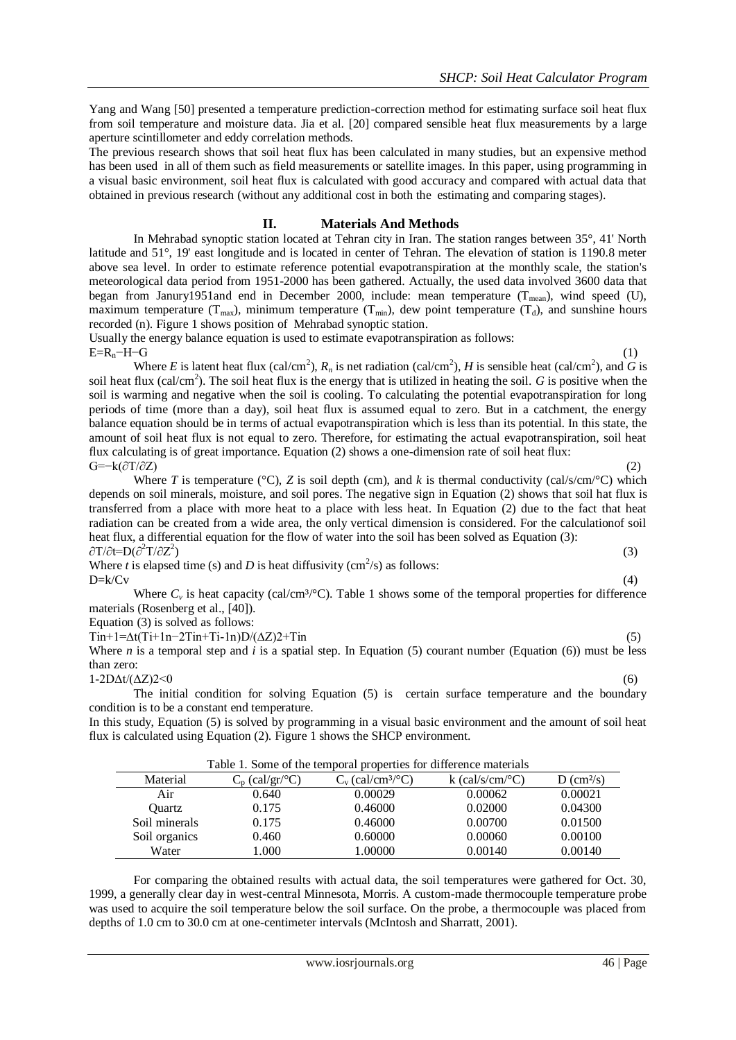Yang and Wang [50] presented a temperature prediction-correction method for estimating surface soil heat flux from soil temperature and moisture data. Jia et al. [20] compared sensible heat flux measurements by a large aperture scintillometer and eddy correlation methods.

The previous research shows that soil heat flux has been calculated in many studies, but an expensive method has been used in all of them such as field measurements or satellite images. In this paper, using programming in a visual basic environment, soil heat flux is calculated with good accuracy and compared with actual data that obtained in previous research (without any additional cost in both the estimating and comparing stages).

## **II. Materials And Methods**

In Mehrabad synoptic station located at Tehran city in Iran. The station ranges between 35°, 41' North latitude and 51°, 19' east longitude and is located in center of Tehran. The elevation of station is 1190.8 meter above sea level. In order to estimate reference potential evapotranspiration at the monthly scale, the station's meteorological data period from 1951-2000 has been gathered. Actually, the used data involved 3600 data that began from Janury1951and end in December 2000, include: mean temperature  $(T_{mean})$ , wind speed (U), maximum temperature ( $T_{\text{max}}$ ), minimum temperature ( $T_{\text{min}}$ ), dew point temperature ( $T_d$ ), and sunshine hours recorded (n). Figure 1 shows position of Mehrabad synoptic station.

Usually the energy balance equation is used to estimate evapotranspiration as follows:  $E=R_n-H-G$  (1)

Where *E* is latent heat flux (cal/cm<sup>2</sup>),  $R_n$  is net radiation (cal/cm<sup>2</sup>), *H* is sensible heat (cal/cm<sup>2</sup>), and *G* is soil heat flux (cal/cm<sup>2</sup>). The soil heat flux is the energy that is utilized in heating the soil. *G* is positive when the soil is warming and negative when the soil is cooling. To calculating the potential evapotranspiration for long periods of time (more than a day), soil heat flux is assumed equal to zero. But in a catchment, the energy balance equation should be in terms of actual evapotranspiration which is less than its potential. In this state, the amount of soil heat flux is not equal to zero. Therefore, for estimating the actual evapotranspiration, soil heat flux calculating is of great importance. Equation (2) shows a one-dimension rate of soil heat flux:  $G=-k(\partial T/\partial Z)$ 

Where *T* is temperature (°C), *Z* is soil depth (cm), and *k* is thermal conductivity (cal/s/cm/°C) which depends on soil minerals, moisture, and soil pores. The negative sign in Equation (2) shows that soil hat flux is transferred from a place with more heat to a place with less heat. In Equation (2) due to the fact that heat radiation can be created from a wide area, the only vertical dimension is considered. For the calculationof soil heat flux, a differential equation for the flow of water into the soil has been solved as Equation (3):  $\partial T/\partial t = D(\partial^2 T/\partial Z^2)$ ) (3)  $\hspace{3cm}$  (3)  $\hspace{3cm}$ 

Where *t* is elapsed time (s) and *D* is heat diffusivity (cm<sup>2</sup>/s) as follows:  $D=k/Cv$  (4)

Where  $C_v$  is heat capacity (cal/cm<sup>3</sup>/°C). Table 1 shows some of the temporal properties for difference materials (Rosenberg et al., [40]).

Equation (3) is solved as follows:

 $T\text{in}+1=\Delta t(T\text{i}+1\text{n}-2T\text{in}+T\text{i}-1\text{n})D/(\Delta Z)2+T\text{in}$  (5)

Where *n* is a temporal step and *i* is a spatial step. In Equation (5) courant number (Equation (6)) must be less than zero:

## $1-2D\Delta t/(\Delta Z)2<0$  (6)

The initial condition for solving Equation (5) is certain surface temperature and the boundary condition is to be a constant end temperature.

In this study, Equation (5) is solved by programming in a visual basic environment and the amount of soil heat flux is calculated using Equation (2). Figure 1 shows the SHCP environment.

| Lable 1. Some of the temporal properties for difference materials |                   |                                 |                                |                          |  |  |  |  |  |
|-------------------------------------------------------------------|-------------------|---------------------------------|--------------------------------|--------------------------|--|--|--|--|--|
| Material                                                          | $C_p$ (cal/gr/°C) | $C_v$ (cal/cm <sup>3/°</sup> C) | k (cal/s/cm/ $\rm ^{\circ}C$ ) | $D$ (cm <sup>2</sup> /s) |  |  |  |  |  |
| Air                                                               | 0.640             | 0.00029                         | 0.00062                        | 0.00021                  |  |  |  |  |  |
| Ouartz                                                            | 0.175             | 0.46000                         | 0.02000                        | 0.04300                  |  |  |  |  |  |
| Soil minerals                                                     | 0.175             | 0.46000                         | 0.00700                        | 0.01500                  |  |  |  |  |  |
| Soil organics                                                     | 0.460             | 0.60000                         | 0.00060                        | 0.00100                  |  |  |  |  |  |
| Water                                                             | l.000             | 1.00000                         | 0.00140                        | 0.00140                  |  |  |  |  |  |

Table 1. Some of the temporal properties for difference materials

For comparing the obtained results with actual data, the soil temperatures were gathered for Oct. 30, 1999, a generally clear day in west-central Minnesota, Morris. A custom-made thermocouple temperature probe was used to acquire the soil temperature below the soil surface. On the probe, a thermocouple was placed from depths of 1.0 cm to 30.0 cm at one-centimeter intervals (McIntosh and Sharratt, 2001).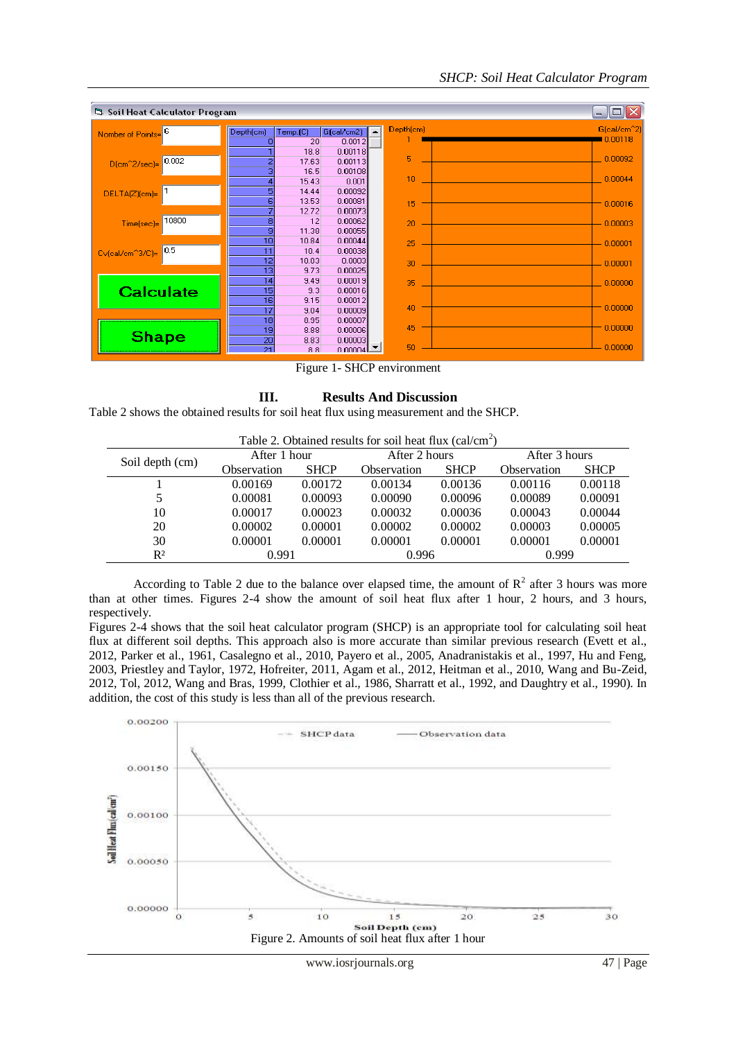## *SHCP: Soil Heat Calculator Program*



Figure 1- SHCP environment

## **III. Results And Discussion**

Table 2 shows the obtained results for soil heat flux using measurement and the SHCP.

| Table 2. Obtained results for soil heat flux $\text{(cal/cm}^2)$ |              |             |               |             |               |             |  |  |  |
|------------------------------------------------------------------|--------------|-------------|---------------|-------------|---------------|-------------|--|--|--|
| Soil depth (cm)                                                  | After 1 hour |             | After 2 hours |             | After 3 hours |             |  |  |  |
|                                                                  | Observation  | <b>SHCP</b> | Observation   | <b>SHCP</b> | Observation   | <b>SHCP</b> |  |  |  |
|                                                                  | 0.00169      | 0.00172     | 0.00134       | 0.00136     | 0.00116       | 0.00118     |  |  |  |
| 5                                                                | 0.00081      | 0.00093     | 0.00090       | 0.00096     | 0.00089       | 0.00091     |  |  |  |
| 10                                                               | 0.00017      | 0.00023     | 0.00032       | 0.00036     | 0.00043       | 0.00044     |  |  |  |
| 20                                                               | 0.00002      | 0.00001     | 0.00002       | 0.00002     | 0.00003       | 0.00005     |  |  |  |
| 30                                                               | 0.00001      | 0.00001     | 0.00001       | 0.00001     | 0.00001       | 0.00001     |  |  |  |
| $R^2$                                                            | 0.991        |             | 0.996         |             | 0.999         |             |  |  |  |

According to Table 2 due to the balance over elapsed time, the amount of  $R^2$  after 3 hours was more than at other times. Figures 2-4 show the amount of soil heat flux after 1 hour, 2 hours, and 3 hours, respectively.

Figures 2-4 shows that the soil heat calculator program (SHCP) is an appropriate tool for calculating soil heat flux at different soil depths. This approach also is more accurate than similar previous research (Evett et al., 2012, Parker et al., 1961, [Casalegno](http://www.sciencedirect.com/science/article/pii/S0022311510005337) et al., 2010, Payero et al., 2005, Anadranistakis et al., 1997, Hu and Feng, 2003, Priestley and Taylor, 1972, Hofreiter, 2011, Agam et al., 2012, Heitman et al., 2010, Wang and Bu-Zeid, 2012, Tol, 2012, Wang and Bras, 1999, [Clothier](http://www.sciencedirect.com/science/article/pii/0168192386900699) et al., 1986, [Sharratt](http://www.sciencedirect.com/science/article/pii/0168192392900272) et al., 1992, and [Daughtry](http://www.sciencedirect.com/science/article/pii/003442579090012B) et al., 1990). In addition, the cost of this study is less than all of the previous research.

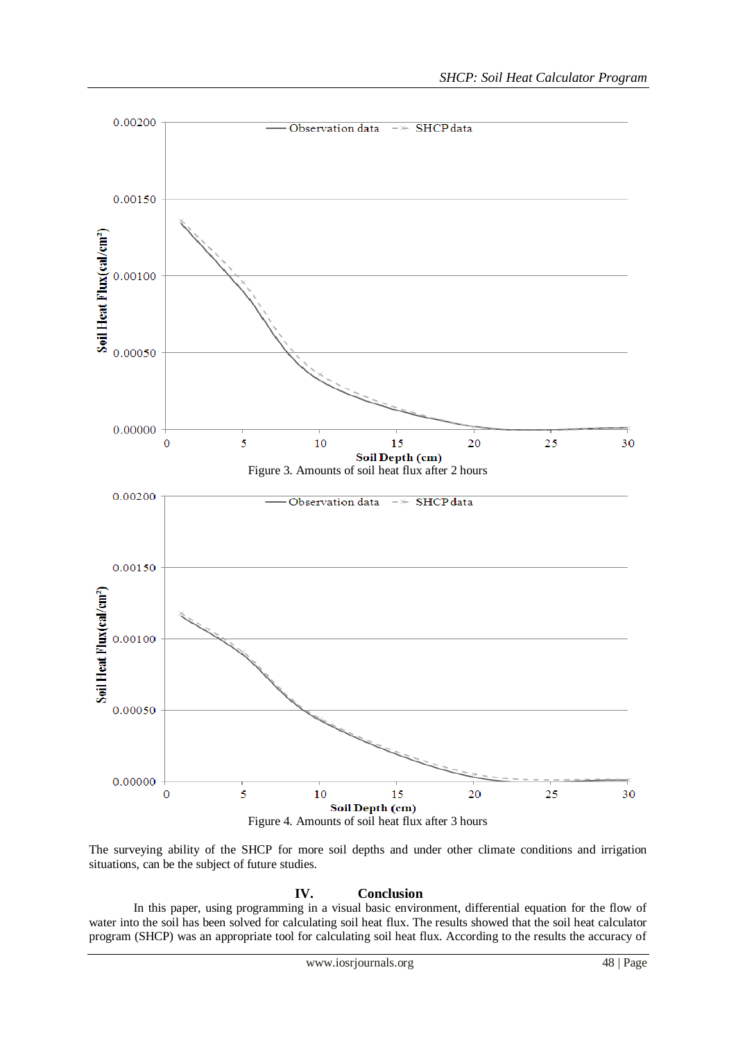

The surveying ability of the SHCP for more soil depths and under other climate conditions and irrigation situations, can be the subject of future studies.

## **IV. Conclusion**

In this paper, using programming in a visual basic environment, differential equation for the flow of water into the soil has been solved for calculating soil heat flux. The results showed that the soil heat calculator program (SHCP) was an appropriate tool for calculating soil heat flux. According to the results the accuracy of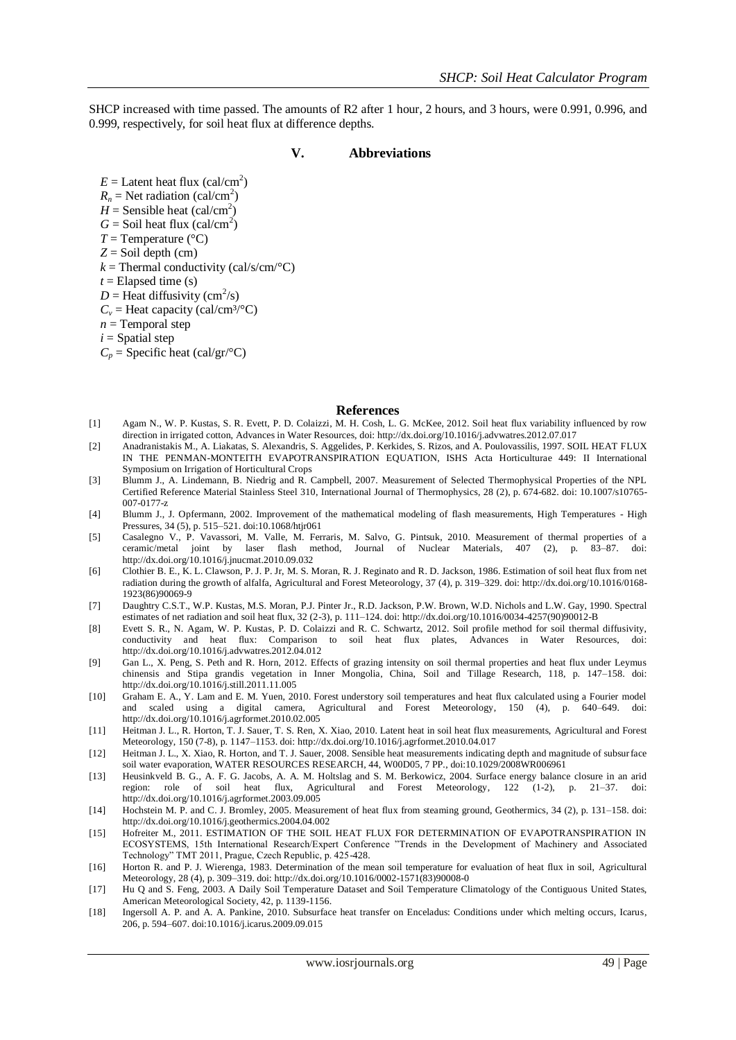SHCP increased with time passed. The amounts of R2 after 1 hour, 2 hours, and 3 hours, were 0.991, 0.996, and 0.999, respectively, for soil heat flux at difference depths.

#### **V. Abbreviations**

 $E =$  Latent heat flux (cal/cm<sup>2</sup>)  $R_n$  = Net radiation (cal/cm<sup>2</sup>)  $H =$  Sensible heat (cal/cm<sup>2</sup>)  $G =$  Soil heat flux (cal/cm<sup>2</sup>)  $T =$ Temperature ( $^{\circ}$ C) *Z* = Soil depth (cm)  $k =$ Thermal conductivity (cal/s/cm/ $\rm ^{\circ}C$ )  $t =$ Elapsed time (s)  $D =$  Heat diffusivity (cm<sup>2</sup>/s)  $C_v$  = Heat capacity (cal/cm<sup>3/°</sup>C)  $n =$ Temporal step  $i =$ Spatial step  $C_p$  = Specific heat (cal/gr/°C)

#### **References**

- [1] [Agam](http://www.sciencedirect.com/science/article/pii/S0309170812002059) N., [W. P. Kustas, S. R. Evett, P. D. Colaizzi, M. H. Cosh,](http://www.sciencedirect.com/science/article/pii/S0309170812002059) L. G. [McKee,](http://www.sciencedirect.com/science/article/pii/S0309170812002059) 2012. Soil heat flux variability influenced by row direction in irrigated cotton[, Advances in Water Resources,](http://www.sciencedirect.com/science/journal/03091708) doi[: http://dx.doi.org/10.1016/j.advwatres.2012.07.017](http://dx.doi.org/10.1016/j.advwatres.2012.07.017)
- [2] Anadranistakis M., A. Liakatas, S. Alexandris, S. Aggelides, P. Kerkides, S. Rizos, and A. Poulovassilis, 1997. SOIL HEAT FLUX IN THE PENMAN-MONTEITH EVAPOTRANSPIRATION EQUATION, ISHS Acta Horticulturae 449: [II International](http://www.actahort.org/books/449/index.htm)  [Symposium on Irrigation of Horticultural Crops](http://www.actahort.org/books/449/index.htm)
- [3] [Blumm](http://www.springerlink.com/content/?Author=J.+Blumm) J., [A. Lindemann,](http://www.springerlink.com/content/?Author=A.+Lindemann) [B. Niedrig](http://www.springerlink.com/content/?Author=B.+Niedrig) and [R. Campbell,](http://www.springerlink.com/content/?Author=R.+Campbell) 2007. [Measurement of Selected Thermophysical Properties of the NPL](http://www.springerlink.com/content/4kl8p6717705h766/)  [Certified Reference Material Stainless Steel 310,](http://www.springerlink.com/content/4kl8p6717705h766/) [International Journal of Thermophysics,](http://www.springerlink.com/content/0195-928x/) 28 (2), p. 674-682. doi: 10.1007/s10765- 007-0177-z
- [4] Blumm J., J. Opfermann, 2002. Improvement of the mathematical modeling of flash measurements, High Temperatures High Pressures, 34 (5), p. 515–521. doi:10.1068/htjr061
- [5] [Casalegno](http://www.sciencedirect.com/science/article/pii/S0022311510005337) V., [P. Vavassori, M. Valle, M. Ferraris, M. Salvo, G. Pintsuk,](http://www.sciencedirect.com/science/article/pii/S0022311510005337) 2010. Measurement of thermal properties of a ceramic/metal joint by laser flash method, [Journal of Nuclear Materials,](http://www.sciencedirect.com/science/journal/00223115) 407 (2), p. 83–87. doi: <http://dx.doi.org/10.1016/j.jnucmat.2010.09.032>
- [6] [Clothier](http://www.sciencedirect.com/science/article/pii/0168192386900699) B. E.[, K. L. Clawson,](http://www.sciencedirect.com/science/article/pii/0168192386900699) P. J. P. Jr, [M. S. Moran, R. J. Reginato](http://www.sciencedirect.com/science/article/pii/0168192386900699) an[d R. D. Jackson,](http://www.sciencedirect.com/science/article/pii/0168192386900699) 1986. Estimation of soil heat flux from net radiation during the growth of alfalfa, [Agricultural and Forest Meteorology,](http://www.sciencedirect.com/science/journal/01681923) 37 (4), p. 319–329. doi[: http://dx.doi.org/10.1016/0168-](http://dx.doi.org/10.1016/0168-1923%2886%2990069-9) [1923\(86\)90069-9](http://dx.doi.org/10.1016/0168-1923%2886%2990069-9)
- [7] [Daughtry](http://www.sciencedirect.com/science/article/pii/003442579090012B) C.S.T., [W.P. Kustas, M.S. Moran, P.J. Pinter Jr., R.D. Jackson, P.W. Brown, W.D. Nichols](http://www.sciencedirect.com/science/article/pii/003442579090012B) an[d L.W. Gay,](http://www.sciencedirect.com/science/article/pii/003442579090012B) 1990. Spectral estimates of net radiation and soil heat flux, 32 (2-3), p. 111–124. doi[: http://dx.doi.org/10.1016/0034-4257\(90\)90012-B](http://dx.doi.org/10.1016/0034-4257%2890%2990012-B)
- [8] [Evett](http://www.sciencedirect.com/science/article/pii/S0309170812000966) S. R., [N. Agam, W. P. Kustas, P. D. Colaizzi](http://www.sciencedirect.com/science/article/pii/S0309170812000966) and [R. C. Schwartz,](http://www.sciencedirect.com/science/article/pii/S0309170812000966) 2012. Soil profile method for soil thermal diffusivity, conductivity and heat flux: Comparison to soil heat flux plates, [Advances in Water Resources,](http://www.sciencedirect.com/science/journal/03091708) doi: <http://dx.doi.org/10.1016/j.advwatres.2012.04.012>
- [9] [Gan](http://www.sciencedirect.com/science/article/pii/S0167198711002042) L., [X. Peng, S. Peth](http://www.sciencedirect.com/science/article/pii/S0167198711002042) and [R. Horn,](http://www.sciencedirect.com/science/article/pii/S0167198711002042) 2012. Effects of grazing intensity on soil thermal properties and heat flux under Leymus chinensis and Stipa grandis vegetation in Inner Mongolia, China, [Soil and Tillage Research,](http://www.sciencedirect.com/science/journal/01671987) 118, p. 147–158. doi: <http://dx.doi.org/10.1016/j.still.2011.11.005>
- [10] [Graham](http://www.sciencedirect.com/science/article/pii/S0168192310000511) E. A., [Y. Lam](http://www.sciencedirect.com/science/article/pii/S0168192310000511) an[d E. M. Yuen,](http://www.sciencedirect.com/science/article/pii/S0168192310000511) 2010. Forest understory soil temperatures and heat flux calculated using a Fourier model and scaled using a digital camera, [Agricultural and Forest Meteorology,](http://www.sciencedirect.com/science/journal/01681923) 150 (4), p. 640–649. doi: <http://dx.doi.org/10.1016/j.agrformet.2010.02.005>
- [11] Heitman J. L.[, R. Horton, T. J. Sauer, T. S. Ren, X. Xiao,](http://www.sciencedirect.com/science/article/pii/S0168192310001267) 2010. Latent heat in soil heat flux measurements, [Agricultural and Forest](http://www.sciencedirect.com/science/journal/01681923)  [Meteorology,](http://www.sciencedirect.com/science/journal/01681923) 150 (7-8), p. 1147–1153. doi:<http://dx.doi.org/10.1016/j.agrformet.2010.04.017>
- [12] Heitman J. L., X. Xiao, R. Horton, and T. J. Sauer, 2008. Sensible heat measurements indicating depth and magnitude of subsurface soil water evaporation, WATER RESOURCES RESEARCH, 44, W00D05, 7 PP., doi:10.1029/2008WR006961
- [13] [Heusinkveld](http://www.sciencedirect.com/science/article/pii/S0168192303002259) B. G., [A. F. G. Jacobs, A. A. M. Holtslag](http://www.sciencedirect.com/science/article/pii/S0168192303002259) and [S. M. Berkowicz,](http://www.sciencedirect.com/science/article/pii/S0168192303002259) 2004. Surface energy balance closure in an arid region: role of soil heat flux, [Agricultural and Forest Meteorology,](http://www.sciencedirect.com/science/journal/01681923) 122 (1-2), p. 21–37. doi: <http://dx.doi.org/10.1016/j.agrformet.2003.09.005>
- [14] [Hochstein](http://www.sciencedirect.com/science/article/pii/S0375650504000719) M. P. and [C. J. Bromley,](http://www.sciencedirect.com/science/article/pii/S0375650504000719) 2005. Measurement of heat flux from steaming ground[, Geothermics,](http://www.sciencedirect.com/science/journal/03756505) 34 (2), p. 131–158. doi: <http://dx.doi.org/10.1016/j.geothermics.2004.04.002>
- [15] Hofreiter M., 2011. ESTIMATION OF THE SOIL HEAT FLUX FOR DETERMINATION OF EVAPOTRANSPIRATION IN ECOSYSTEMS, 15th International Research/Expert Conference "Trends in the Development of Machinery and Associated Technology" TMT 2011, Prague, Czech Republic, p. 425-428.
- [16] [Horton](http://www.sciencedirect.com/science/article/pii/0002157183900080) R. and [P. J. Wierenga,](http://www.sciencedirect.com/science/article/pii/0002157183900080) 1983. Determination of the mean soil temperature for evaluation of heat flux in soil, [Agricultural](http://www.sciencedirect.com/science/journal/00021571)  [Meteorology,](http://www.sciencedirect.com/science/journal/00021571) 28 (4), p. 309–319. doi: [http://dx.doi.org/10.1016/0002-1571\(83\)90008-0](http://dx.doi.org/10.1016/0002-1571%2883%2990008-0)
- [17] Hu Q and S. Feng, 2003. A Daily Soil Temperature Dataset and Soil Temperature Climatology of the Contiguous United States, American Meteorological Society, 42, p. 1139-1156.
- [18] Ingersoll A. P. and A. A. Pankine, 2010. Subsurface heat transfer on Enceladus: Conditions under which melting occurs, Icarus, 206, p. 594–607. doi:10.1016/j.icarus.2009.09.015